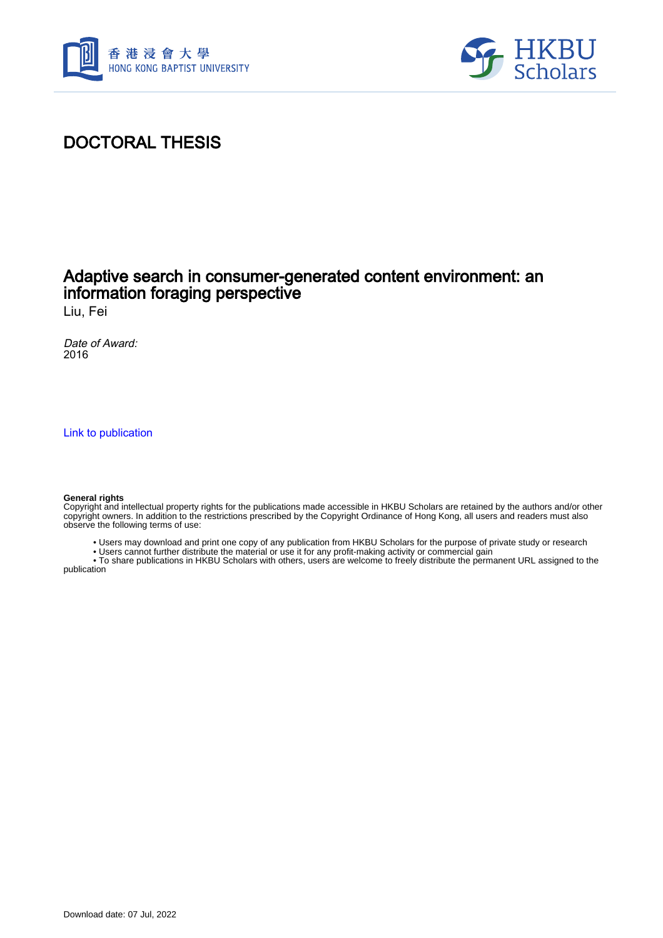



## DOCTORAL THESIS

### Adaptive search in consumer-generated content environment: an information foraging perspective

Liu, Fei

Date of Award: 2016

[Link to publication](https://scholars.hkbu.edu.hk/en/studentTheses/210b4514-8083-4896-bdd0-8038a25b31fb)

#### **General rights**

Copyright and intellectual property rights for the publications made accessible in HKBU Scholars are retained by the authors and/or other copyright owners. In addition to the restrictions prescribed by the Copyright Ordinance of Hong Kong, all users and readers must also observe the following terms of use:

- Users may download and print one copy of any publication from HKBU Scholars for the purpose of private study or research
- Users cannot further distribute the material or use it for any profit-making activity or commercial gain

 • To share publications in HKBU Scholars with others, users are welcome to freely distribute the permanent URL assigned to the publication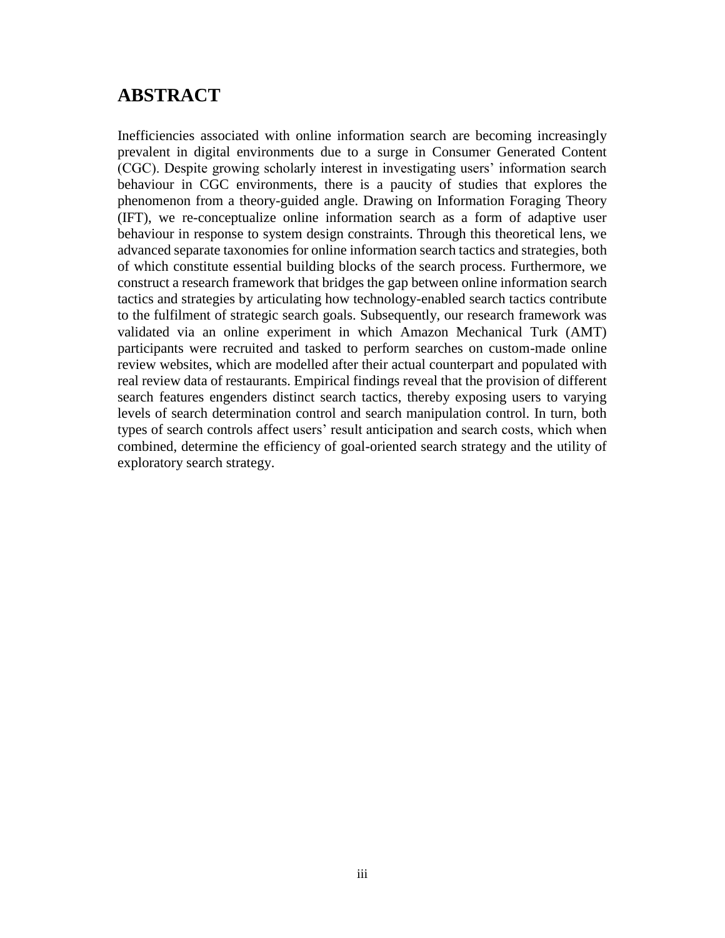### <span id="page-1-0"></span>**ABSTRACT**

Inefficiencies associated with online information search are becoming increasingly prevalent in digital environments due to a surge in Consumer Generated Content (CGC). Despite growing scholarly interest in investigating users' information search behaviour in CGC environments, there is a paucity of studies that explores the phenomenon from a theory-guided angle. Drawing on Information Foraging Theory (IFT), we re-conceptualize online information search as a form of adaptive user behaviour in response to system design constraints. Through this theoretical lens, we advanced separate taxonomies for online information search tactics and strategies, both of which constitute essential building blocks of the search process. Furthermore, we construct a research framework that bridges the gap between online information search tactics and strategies by articulating how technology-enabled search tactics contribute to the fulfilment of strategic search goals. Subsequently, our research framework was validated via an online experiment in which Amazon Mechanical Turk (AMT) participants were recruited and tasked to perform searches on custom-made online review websites, which are modelled after their actual counterpart and populated with real review data of restaurants. Empirical findings reveal that the provision of different search features engenders distinct search tactics, thereby exposing users to varying levels of search determination control and search manipulation control. In turn, both types of search controls affect users' result anticipation and search costs, which when combined, determine the efficiency of goal-oriented search strategy and the utility of exploratory search strategy.